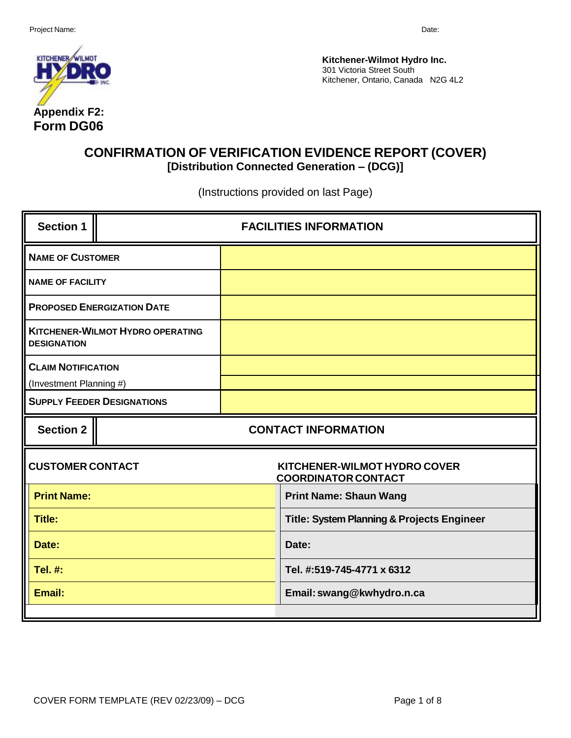

**Kitchener-Wilmot Hydro Inc.** 301 Victoria Street South Kitchener, Ontario, Canada N2G 4L2

# **CONFIRMATION OF VERIFICATION EVIDENCE REPORT (COVER) [Distribution Connected Generation – (DCG)]**

(Instructions provided on last Page)

| <b>Section 1</b>          |                                         | <b>FACILITIES INFORMATION</b> |                                                            |  |  |
|---------------------------|-----------------------------------------|-------------------------------|------------------------------------------------------------|--|--|
| <b>NAME OF CUSTOMER</b>   |                                         |                               |                                                            |  |  |
| <b>NAME OF FACILITY</b>   |                                         |                               |                                                            |  |  |
|                           | <b>PROPOSED ENERGIZATION DATE</b>       |                               |                                                            |  |  |
| <b>DESIGNATION</b>        | <b>KITCHENER-WILMOT HYDRO OPERATING</b> |                               |                                                            |  |  |
| <b>CLAIM NOTIFICATION</b> |                                         |                               |                                                            |  |  |
| (Investment Planning #)   |                                         |                               |                                                            |  |  |
|                           | <b>SUPPLY FEEDER DESIGNATIONS</b>       |                               |                                                            |  |  |
| <b>Section 2</b>          |                                         |                               |                                                            |  |  |
|                           |                                         |                               | <b>CONTACT INFORMATION</b>                                 |  |  |
| <b>CUSTOMER CONTACT</b>   |                                         |                               | KITCHENER-WILMOT HYDRO COVER<br><b>COORDINATOR CONTACT</b> |  |  |
| <b>Print Name:</b>        |                                         |                               | <b>Print Name: Shaun Wang</b>                              |  |  |
| <b>Title:</b>             |                                         |                               | Title: System Planning & Projects Engineer                 |  |  |
| Date:                     |                                         |                               | Date:                                                      |  |  |
| Tel. #:                   |                                         |                               | Tel. #:519-745-4771 x 6312                                 |  |  |
| Email:                    |                                         |                               | Email: swang@kwhydro.n.ca                                  |  |  |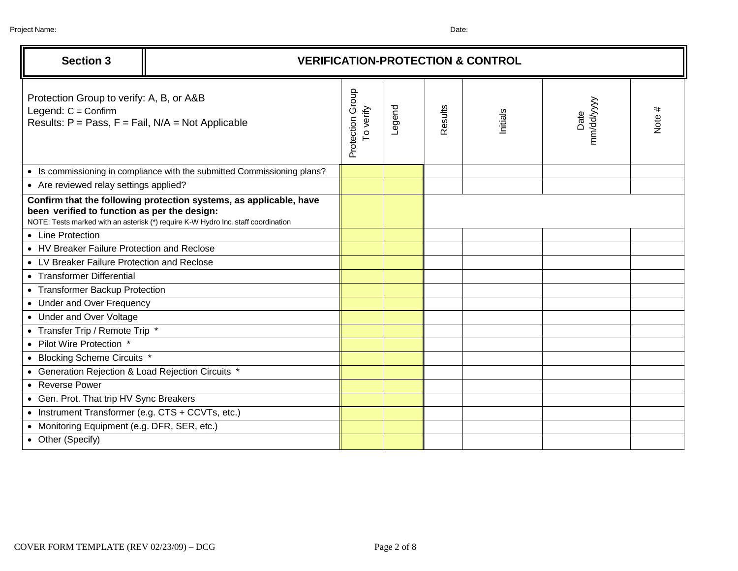| <b>Section 3</b>                                                                                                               | <b>VERIFICATION-PROTECTION &amp; CONTROL</b>                                                                                                            |                               |        |         |          |                    |        |
|--------------------------------------------------------------------------------------------------------------------------------|---------------------------------------------------------------------------------------------------------------------------------------------------------|-------------------------------|--------|---------|----------|--------------------|--------|
| Protection Group to verify: A, B, or A&B<br>Legend: $C =$ Confirm<br>Results: $P = Pass$ , $F = Fail$ , $N/A = Not$ Applicable |                                                                                                                                                         | Protection Group<br>To verify | Legend | Results | Initials | Date<br>mm/dd/yyyy | Note # |
|                                                                                                                                | • Is commissioning in compliance with the submitted Commissioning plans?                                                                                |                               |        |         |          |                    |        |
| • Are reviewed relay settings applied?                                                                                         |                                                                                                                                                         |                               |        |         |          |                    |        |
| been verified to function as per the design:                                                                                   | Confirm that the following protection systems, as applicable, have<br>NOTE: Tests marked with an asterisk (*) require K-W Hydro Inc. staff coordination |                               |        |         |          |                    |        |
| • Line Protection                                                                                                              |                                                                                                                                                         |                               |        |         |          |                    |        |
| • HV Breaker Failure Protection and Reclose                                                                                    |                                                                                                                                                         |                               |        |         |          |                    |        |
| • LV Breaker Failure Protection and Reclose                                                                                    |                                                                                                                                                         |                               |        |         |          |                    |        |
| • Transformer Differential                                                                                                     |                                                                                                                                                         |                               |        |         |          |                    |        |
| • Transformer Backup Protection                                                                                                |                                                                                                                                                         |                               |        |         |          |                    |        |
| • Under and Over Frequency                                                                                                     |                                                                                                                                                         |                               |        |         |          |                    |        |
| • Under and Over Voltage                                                                                                       |                                                                                                                                                         |                               |        |         |          |                    |        |
| • Transfer Trip / Remote Trip *                                                                                                |                                                                                                                                                         |                               |        |         |          |                    |        |
| • Pilot Wire Protection *                                                                                                      |                                                                                                                                                         |                               |        |         |          |                    |        |
| • Blocking Scheme Circuits *                                                                                                   |                                                                                                                                                         |                               |        |         |          |                    |        |
| • Generation Rejection & Load Rejection Circuits *                                                                             |                                                                                                                                                         |                               |        |         |          |                    |        |
| • Reverse Power                                                                                                                |                                                                                                                                                         |                               |        |         |          |                    |        |
| • Gen. Prot. That trip HV Sync Breakers                                                                                        |                                                                                                                                                         |                               |        |         |          |                    |        |
| • Instrument Transformer (e.g. CTS + CCVTs, etc.)                                                                              |                                                                                                                                                         |                               |        |         |          |                    |        |
| • Monitoring Equipment (e.g. DFR, SER, etc.)                                                                                   |                                                                                                                                                         |                               |        |         |          |                    |        |
| • Other (Specify)                                                                                                              |                                                                                                                                                         |                               |        |         |          |                    |        |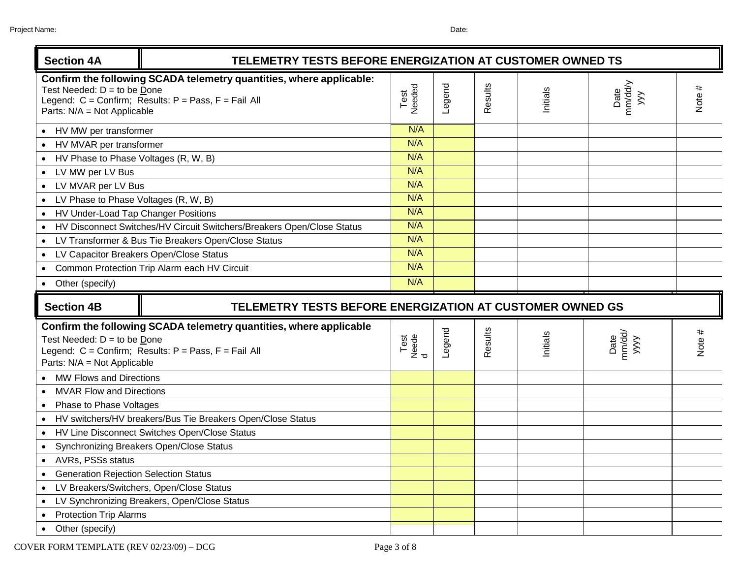| <b>Section 4A</b><br>TELEMETRY TESTS BEFORE ENERGIZATION AT CUSTOMER OWNED TS |                                                                                                                                   |                    |        |         |          |                        |        |
|-------------------------------------------------------------------------------|-----------------------------------------------------------------------------------------------------------------------------------|--------------------|--------|---------|----------|------------------------|--------|
| Test Needed: $D =$ to be Done<br>Parts: N/A = Not Applicable                  | Confirm the following SCADA telemetry quantities, where applicable:<br>Legend: $C =$ Confirm; Results: $P =$ Pass, $F =$ Fail All | Test<br>Needed     | Legend | Results | Initials | Date<br>mm/dd/y<br>yyy | Note # |
| • HV MW per transformer                                                       |                                                                                                                                   | N/A                |        |         |          |                        |        |
| • HV MVAR per transformer                                                     |                                                                                                                                   | N/A                |        |         |          |                        |        |
| • HV Phase to Phase Voltages (R, W, B)                                        |                                                                                                                                   | N/A                |        |         |          |                        |        |
| • LV MW per LV Bus                                                            |                                                                                                                                   | N/A                |        |         |          |                        |        |
| • LV MVAR per LV Bus                                                          |                                                                                                                                   | N/A                |        |         |          |                        |        |
| • LV Phase to Phase Voltages (R, W, B)                                        |                                                                                                                                   | N/A                |        |         |          |                        |        |
| HV Under-Load Tap Changer Positions                                           |                                                                                                                                   | N/A                |        |         |          |                        |        |
|                                                                               | HV Disconnect Switches/HV Circuit Switchers/Breakers Open/Close Status                                                            | N/A                |        |         |          |                        |        |
|                                                                               | • LV Transformer & Bus Tie Breakers Open/Close Status                                                                             | N/A                |        |         |          |                        |        |
| • LV Capacitor Breakers Open/Close Status                                     |                                                                                                                                   | N/A                |        |         |          |                        |        |
|                                                                               | • Common Protection Trip Alarm each HV Circuit                                                                                    | N/A                |        |         |          |                        |        |
| • Other (specify)                                                             |                                                                                                                                   | N/A                |        |         |          |                        |        |
|                                                                               | TELEMETRY TESTS BEFORE ENERGIZATION AT CUSTOMER OWNED GS                                                                          |                    |        |         |          |                        |        |
| <b>Section 4B</b>                                                             |                                                                                                                                   |                    |        |         |          |                        |        |
| Test Needed: $D =$ to be Done<br>Parts: N/A = Not Applicable                  | Confirm the following SCADA telemetry quantities, where applicable<br>Legend: C = Confirm; Results: P = Pass, F = Fail All        | Test<br>Neede<br>d | Legend | Results | Initials | Date<br>mm/dd/<br>yyyy | Note # |
| • MW Flows and Directions                                                     |                                                                                                                                   |                    |        |         |          |                        |        |
| <b>MVAR Flow and Directions</b>                                               |                                                                                                                                   |                    |        |         |          |                        |        |
| Phase to Phase Voltages<br>$\bullet$                                          |                                                                                                                                   |                    |        |         |          |                        |        |
|                                                                               | HV switchers/HV breakers/Bus Tie Breakers Open/Close Status                                                                       |                    |        |         |          |                        |        |
|                                                                               | • HV Line Disconnect Switches Open/Close Status                                                                                   |                    |        |         |          |                        |        |
| • Synchronizing Breakers Open/Close Status                                    |                                                                                                                                   |                    |        |         |          |                        |        |
| • AVRs, PSSs status                                                           |                                                                                                                                   |                    |        |         |          |                        |        |
| <b>Generation Rejection Selection Status</b>                                  |                                                                                                                                   |                    |        |         |          |                        |        |
| LV Breakers/Switchers, Open/Close Status                                      |                                                                                                                                   |                    |        |         |          |                        |        |
|                                                                               | LV Synchronizing Breakers, Open/Close Status                                                                                      |                    |        |         |          |                        |        |
| <b>Protection Trip Alarms</b>                                                 |                                                                                                                                   |                    |        |         |          |                        |        |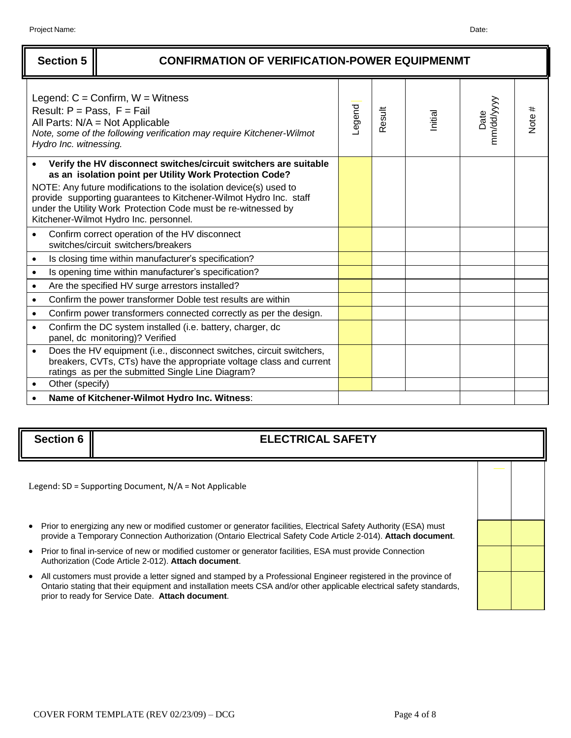|           | <b>Section 5</b>       | <b>CONFIRMATION OF VERIFICATION-POWER EQUIPMENMT</b>                                                                                                                                                                                                                                                                                                                               |        |        |         |                   |        |
|-----------|------------------------|------------------------------------------------------------------------------------------------------------------------------------------------------------------------------------------------------------------------------------------------------------------------------------------------------------------------------------------------------------------------------------|--------|--------|---------|-------------------|--------|
|           | Hydro Inc. witnessing. | Legend: $C =$ Confirm, $W =$ Witness<br>Result: $P = Pass$ , $F = Fail$<br>All Parts: $N/A = Not$ Applicable<br>Note, some of the following verification may require Kitchener-Wilmot                                                                                                                                                                                              | Legend | Result | Initial | mm/dd/yyy<br>Date | Note # |
|           |                        | Verify the HV disconnect switches/circuit switchers are suitable<br>as an isolation point per Utility Work Protection Code?<br>NOTE: Any future modifications to the isolation device(s) used to<br>provide supporting guarantees to Kitchener-Wilmot Hydro Inc. staff<br>under the Utility Work Protection Code must be re-witnessed by<br>Kitchener-Wilmot Hydro Inc. personnel. |        |        |         |                   |        |
|           |                        | Confirm correct operation of the HV disconnect<br>switches/circuit switchers/breakers                                                                                                                                                                                                                                                                                              |        |        |         |                   |        |
| $\bullet$ |                        | Is closing time within manufacturer's specification?                                                                                                                                                                                                                                                                                                                               |        |        |         |                   |        |
| $\bullet$ |                        | Is opening time within manufacturer's specification?                                                                                                                                                                                                                                                                                                                               |        |        |         |                   |        |
| $\bullet$ |                        | Are the specified HV surge arrestors installed?                                                                                                                                                                                                                                                                                                                                    |        |        |         |                   |        |
| $\bullet$ |                        | Confirm the power transformer Doble test results are within                                                                                                                                                                                                                                                                                                                        |        |        |         |                   |        |
| $\bullet$ |                        | Confirm power transformers connected correctly as per the design.                                                                                                                                                                                                                                                                                                                  |        |        |         |                   |        |
| $\bullet$ |                        | Confirm the DC system installed (i.e. battery, charger, dc<br>panel, dc monitoring)? Verified                                                                                                                                                                                                                                                                                      |        |        |         |                   |        |
| $\bullet$ |                        | Does the HV equipment (i.e., disconnect switches, circuit switchers,<br>breakers, CVTs, CTs) have the appropriate voltage class and current<br>ratings as per the submitted Single Line Diagram?                                                                                                                                                                                   |        |        |         |                   |        |
|           | Other (specify)        |                                                                                                                                                                                                                                                                                                                                                                                    |        |        |         |                   |        |
|           |                        | Name of Kitchener-Wilmot Hydro Inc. Witness:                                                                                                                                                                                                                                                                                                                                       |        |        |         |                   |        |

## **Section 6 ELECTRICAL SAFETY**

Legend: SD = Supporting Document, N/A = Not Applicable

- Prior to energizing any new or modified customer or generator facilities, Electrical Safety Authority (ESA) must provide a Temporary Connection Authorization (Ontario Electrical Safety Code Article 2-014). **Attach document**.
- Prior to final in-service of new or modified customer or generator facilities, ESA must provide Connection Authorization (Code Article 2-012). **Attach document**.
- All customers must provide a letter signed and stamped by a Professional Engineer registered in the province of Ontario stating that their equipment and installation meets CSA and/or other applicable electrical safety standards, prior to ready for Service Date. **Attach document**.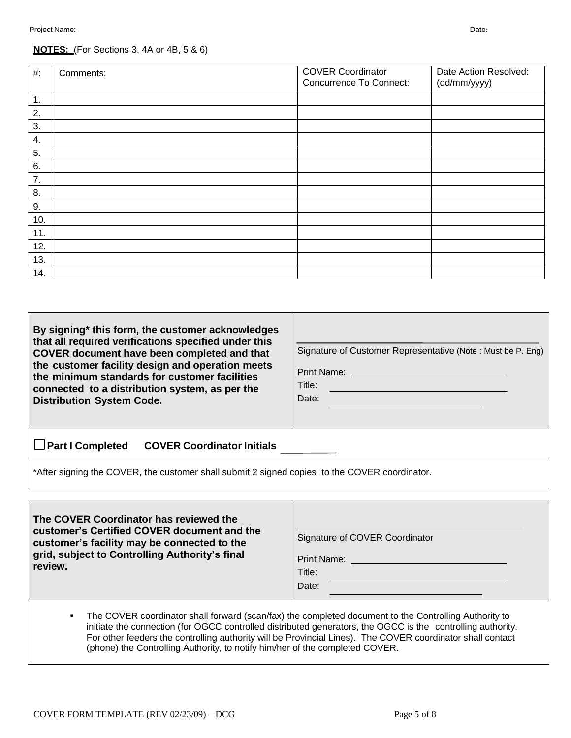#### **NOTES:** (For Sections 3, 4A or 4B, 5 & 6)

| #:  | Comments: | <b>COVER Coordinator</b><br><b>Concurrence To Connect:</b> | Date Action Resolved:<br>(dd/mm/yyyy) |
|-----|-----------|------------------------------------------------------------|---------------------------------------|
| 1.  |           |                                                            |                                       |
| 2.  |           |                                                            |                                       |
| 3.  |           |                                                            |                                       |
| 4.  |           |                                                            |                                       |
| 5.  |           |                                                            |                                       |
| 6.  |           |                                                            |                                       |
| 7.  |           |                                                            |                                       |
| 8.  |           |                                                            |                                       |
| 9.  |           |                                                            |                                       |
| 10. |           |                                                            |                                       |
| 11. |           |                                                            |                                       |
| 12. |           |                                                            |                                       |
| 13. |           |                                                            |                                       |
| 14. |           |                                                            |                                       |

| By signing* this form, the customer acknowledges<br>that all required verifications specified under this<br>COVER document have been completed and that<br>the customer facility design and operation meets<br>the minimum standards for customer facilities<br>connected to a distribution system, as per the<br><b>Distribution System Code.</b> | Signature of Customer Representative (Note: Must be P. Eng)<br>Print Name:<br>Title:<br>Date: |
|----------------------------------------------------------------------------------------------------------------------------------------------------------------------------------------------------------------------------------------------------------------------------------------------------------------------------------------------------|-----------------------------------------------------------------------------------------------|
| $\Box$ Part I Completed<br><b>COVER Coordinator Initials</b>                                                                                                                                                                                                                                                                                       |                                                                                               |

\*After signing the COVER, the customer shall submit 2 signed copies to the COVER coordinator.

| The COVER Coordinator has reviewed the<br>customer's Certified COVER document and the<br>customer's facility may be connected to the<br>grid, subject to Controlling Authority's final<br>review. | Signature of COVER Coordinator<br>Print Name:<br>Title:<br>Date: |
|---------------------------------------------------------------------------------------------------------------------------------------------------------------------------------------------------|------------------------------------------------------------------|
|---------------------------------------------------------------------------------------------------------------------------------------------------------------------------------------------------|------------------------------------------------------------------|

• The COVER coordinator shall forward (scan/fax) the completed document to the Controlling Authority to initiate the connection (for OGCC controlled distributed generators, the OGCC is the controlling authority. For other feeders the controlling authority will be Provincial Lines). The COVER coordinator shall contact (phone) the Controlling Authority, to notify him/her of the completed COVER.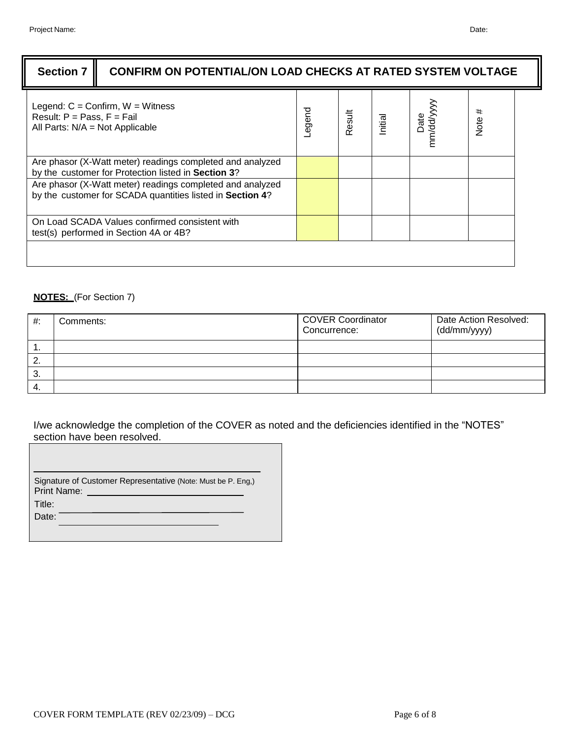| <b>Section 7</b>                                                     | CONFIRM ON POTENTIAL/ON LOAD CHECKS AT RATED SYSTEM VOLTAGE                                                            |        |        |         |                 |           |
|----------------------------------------------------------------------|------------------------------------------------------------------------------------------------------------------------|--------|--------|---------|-----------------|-----------|
| Result: $P = Pass$ , $F = Fail$<br>All Parts: $N/A = Not$ Applicable | Legend: $C =$ Confirm, $W =$ Witness                                                                                   | puebe- | Result | Initial | nm/dd/y<br>Date | #<br>Note |
|                                                                      | Are phasor (X-Watt meter) readings completed and analyzed<br>by the customer for Protection listed in Section 3?       |        |        |         |                 |           |
|                                                                      | Are phasor (X-Watt meter) readings completed and analyzed<br>by the customer for SCADA quantities listed in Section 4? |        |        |         |                 |           |
|                                                                      | On Load SCADA Values confirmed consistent with<br>test(s) performed in Section 4A or 4B?                               |        |        |         |                 |           |
|                                                                      |                                                                                                                        |        |        |         |                 |           |

### **NOTES:** (For Section 7)

ľ

| $#$ : | Comments: | <b>COVER Coordinator</b><br>Concurrence: | Date Action Resolved:<br>(dd/mm/yyyy) |
|-------|-----------|------------------------------------------|---------------------------------------|
| . .   |           |                                          |                                       |
| 2.    |           |                                          |                                       |
| 3.    |           |                                          |                                       |
|       |           |                                          |                                       |

I/we acknowledge the completion of the COVER as noted and the deficiencies identified in the "NOTES" section have been resolved.

| Signature of Customer Representative (Note: Must be P. Eng.)<br><b>Print Name:</b> |
|------------------------------------------------------------------------------------|
| Title:                                                                             |
| Date:                                                                              |
|                                                                                    |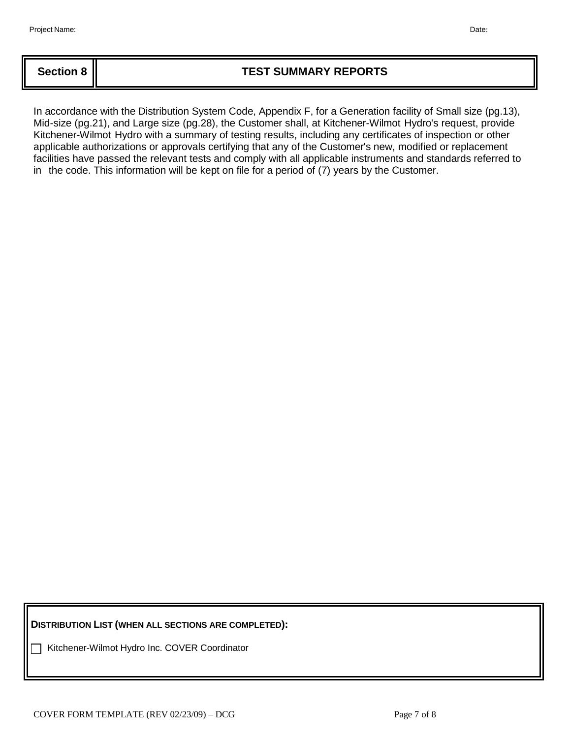## **Section 8 TEST SUMMARY REPORTS**

In accordance with the Distribution System Code, Appendix F, for a Generation facility of Small size (pg.13), Mid-size (pg.21), and Large size (pg.28), the Customer shall, at Kitchener-Wilmot Hydro's request, provide Kitchener-Wilmot Hydro with a summary of testing results, including any certificates of inspection or other applicable authorizations or approvals certifying that any of the Customer's new, modified or replacement facilities have passed the relevant tests and comply with all applicable instruments and standards referred to in the code. This information will be kept on file for a period of (7) years by the Customer.

**DISTRIBUTION LIST (WHEN ALL SECTIONS ARE COMPLETED):**

Kitchener-Wilmot Hydro Inc. COVER Coordinator